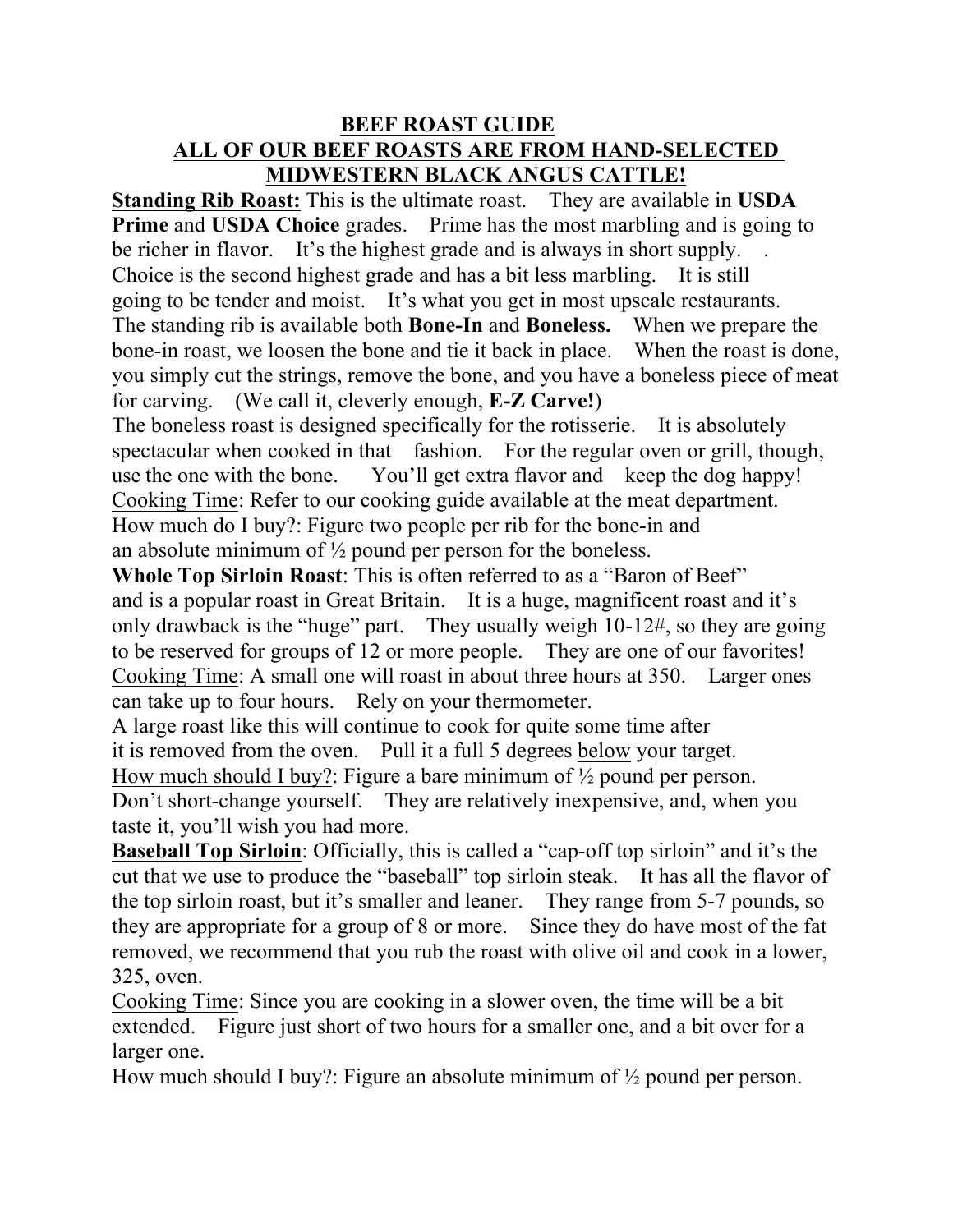## **BEEF ROAST GUIDE ALL OF OUR BEEF ROASTS ARE FROM HAND-SELECTED MIDWESTERN BLACK ANGUS CATTLE!**

**Standing Rib Roast:** This is the ultimate roast. They are available in **USDA Prime** and **USDA Choice** grades. Prime has the most marbling and is going to be richer in flavor. It's the highest grade and is always in short supply. Choice is the second highest grade and has a bit less marbling. It is still going to be tender and moist. It's what you get in most upscale restaurants. The standing rib is available both **Bone-In** and **Boneless.** When we prepare the bone-in roast, we loosen the bone and tie it back in place. When the roast is done, you simply cut the strings, remove the bone, and you have a boneless piece of meat for carving. (We call it, cleverly enough, **E-Z Carve!**)

The boneless roast is designed specifically for the rotisserie. It is absolutely spectacular when cooked in that fashion. For the regular oven or grill, though, use the one with the bone. You'll get extra flavor and keep the dog happy! Cooking Time: Refer to our cooking guide available at the meat department. How much do I buy?: Figure two people per rib for the bone-in and an absolute minimum of  $\frac{1}{2}$  pound per person for the boneless.

**Whole Top Sirloin Roast**: This is often referred to as a "Baron of Beef" and is a popular roast in Great Britain. It is a huge, magnificent roast and it's only drawback is the "huge" part. They usually weigh 10-12#, so they are going to be reserved for groups of 12 or more people. They are one of our favorites! Cooking Time: A small one will roast in about three hours at 350. Larger ones can take up to four hours. Rely on your thermometer.

A large roast like this will continue to cook for quite some time after it is removed from the oven. Pull it a full 5 degrees below your target. How much should I buy?: Figure a bare minimum of  $\frac{1}{2}$  pound per person. Don't short-change yourself. They are relatively inexpensive, and, when you taste it, you'll wish you had more.

**Baseball Top Sirloin**: Officially, this is called a "cap-off top sirloin" and it's the cut that we use to produce the "baseball" top sirloin steak. It has all the flavor of the top sirloin roast, but it's smaller and leaner. They range from 5-7 pounds, so they are appropriate for a group of 8 or more. Since they do have most of the fat removed, we recommend that you rub the roast with olive oil and cook in a lower, 325, oven.

Cooking Time: Since you are cooking in a slower oven, the time will be a bit extended. Figure just short of two hours for a smaller one, and a bit over for a larger one.

How much should I buy?: Figure an absolute minimum of  $\frac{1}{2}$  pound per person.